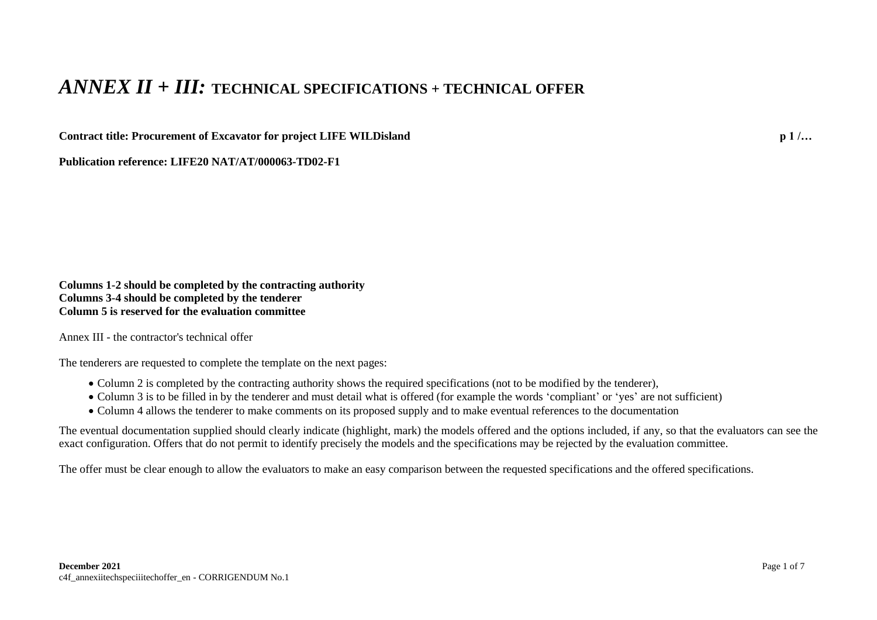## *ANNEX II + III:* **TECHNICAL SPECIFICATIONS + TECHNICAL OFFER**

**Contract title: Procurement of Excavator for project LIFE WILDisland p 1 /…**

**Publication reference: LIFE20 NAT/AT/000063-TD02-F1**

**Columns 1-2 should be completed by the contracting authority Columns 3-4 should be completed by the tenderer Column 5 is reserved for the evaluation committee**

Annex III - the contractor's technical offer

The tenderers are requested to complete the template on the next pages:

- Column 2 is completed by the contracting authority shows the required specifications (not to be modified by the tenderer),
- Column 3 is to be filled in by the tenderer and must detail what is offered (for example the words 'compliant' or 'yes' are not sufficient)
- Column 4 allows the tenderer to make comments on its proposed supply and to make eventual references to the documentation

The eventual documentation supplied should clearly indicate (highlight, mark) the models offered and the options included, if any, so that the evaluators can see the exact configuration. Offers that do not permit to identify precisely the models and the specifications may be rejected by the evaluation committee.

The offer must be clear enough to allow the evaluators to make an easy comparison between the requested specifications and the offered specifications.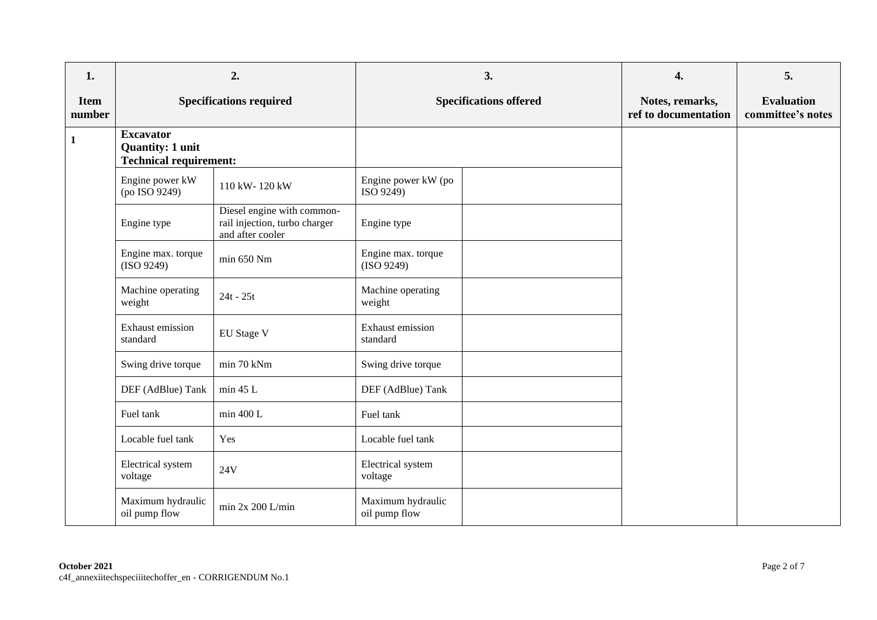| 1.                    |                                                                              | 2.                                                                              |                                    | 3. | 4.                                      | 5.                                     |
|-----------------------|------------------------------------------------------------------------------|---------------------------------------------------------------------------------|------------------------------------|----|-----------------------------------------|----------------------------------------|
| <b>Item</b><br>number | <b>Specifications required</b>                                               |                                                                                 | <b>Specifications offered</b>      |    | Notes, remarks,<br>ref to documentation | <b>Evaluation</b><br>committee's notes |
| $\mathbf{1}$          | <b>Excavator</b><br><b>Quantity: 1 unit</b><br><b>Technical requirement:</b> |                                                                                 |                                    |    |                                         |                                        |
|                       | Engine power kW<br>(po ISO 9249)                                             | 110 kW-120 kW                                                                   | Engine power kW (po<br>ISO 9249)   |    |                                         |                                        |
|                       | Engine type                                                                  | Diesel engine with common-<br>rail injection, turbo charger<br>and after cooler | Engine type                        |    |                                         |                                        |
|                       | Engine max. torque<br>(ISO 9249)                                             | min 650 Nm                                                                      | Engine max. torque<br>(ISO 9249)   |    |                                         |                                        |
|                       | Machine operating<br>weight                                                  | $24t - 25t$                                                                     | Machine operating<br>weight        |    |                                         |                                        |
|                       | Exhaust emission<br>standard                                                 | EU Stage V                                                                      | Exhaust emission<br>standard       |    |                                         |                                        |
|                       | Swing drive torque                                                           | min 70 kNm                                                                      | Swing drive torque                 |    |                                         |                                        |
|                       | DEF (AdBlue) Tank                                                            | min 45 L                                                                        | DEF (AdBlue) Tank                  |    |                                         |                                        |
|                       | Fuel tank                                                                    | min 400 L                                                                       | Fuel tank                          |    |                                         |                                        |
|                       | Locable fuel tank                                                            | Yes                                                                             | Locable fuel tank                  |    |                                         |                                        |
|                       | Electrical system<br>voltage                                                 | 24V                                                                             | Electrical system<br>voltage       |    |                                         |                                        |
|                       | Maximum hydraulic<br>oil pump flow                                           | min $2x 200$ L/min                                                              | Maximum hydraulic<br>oil pump flow |    |                                         |                                        |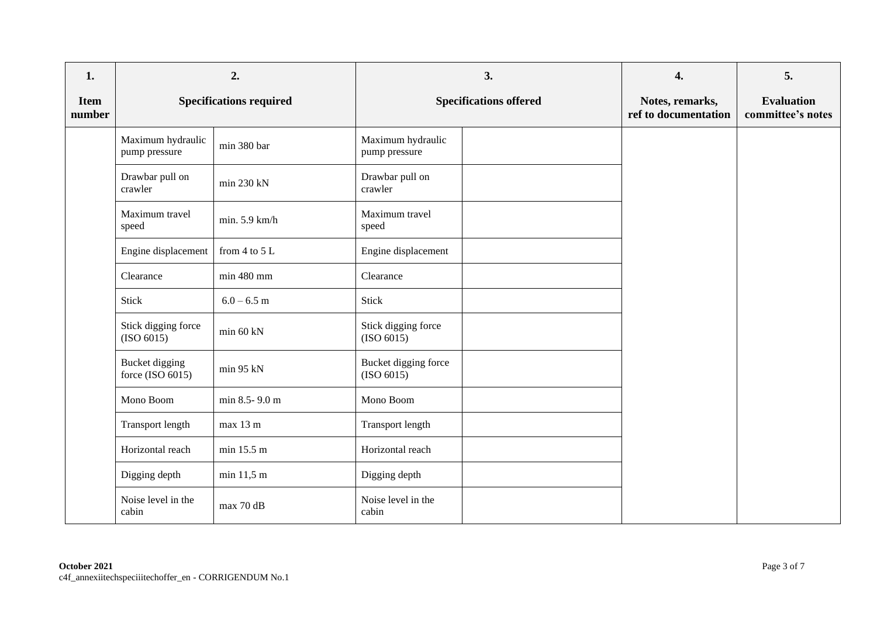| 1.                    |                                       | 2.                             |                                    | 3.                            | 4.                                      | 5.                                     |
|-----------------------|---------------------------------------|--------------------------------|------------------------------------|-------------------------------|-----------------------------------------|----------------------------------------|
| <b>Item</b><br>number |                                       | <b>Specifications required</b> |                                    | <b>Specifications offered</b> | Notes, remarks,<br>ref to documentation | <b>Evaluation</b><br>committee's notes |
|                       | Maximum hydraulic<br>pump pressure    | min 380 bar                    | Maximum hydraulic<br>pump pressure |                               |                                         |                                        |
|                       | Drawbar pull on<br>crawler            | min 230 kN                     | Drawbar pull on<br>crawler         |                               |                                         |                                        |
|                       | Maximum travel<br>speed               | min. 5.9 km/h                  | Maximum travel<br>speed            |                               |                                         |                                        |
|                       | Engine displacement                   | from $4$ to $5$ L              | Engine displacement                |                               |                                         |                                        |
|                       | Clearance                             | min 480 mm                     | Clearance                          |                               |                                         |                                        |
|                       | Stick                                 | $6.0 - 6.5$ m                  | Stick                              |                               |                                         |                                        |
|                       | Stick digging force<br>(ISO 6015)     | min 60 kN                      | Stick digging force<br>(ISO 6015)  |                               |                                         |                                        |
|                       | Bucket digging<br>force (ISO $6015$ ) | min 95 kN                      | Bucket digging force<br>(ISO 6015) |                               |                                         |                                        |
|                       | Mono Boom                             | min 8.5-9.0 m                  | Mono Boom                          |                               |                                         |                                        |
|                       | Transport length                      | max 13 m                       | Transport length                   |                               |                                         |                                        |
|                       | Horizontal reach                      | min 15.5 m                     | Horizontal reach                   |                               |                                         |                                        |
|                       | Digging depth                         | min 11,5 m                     | Digging depth                      |                               |                                         |                                        |
|                       | Noise level in the<br>cabin           | max 70 dB                      | Noise level in the<br>cabin        |                               |                                         |                                        |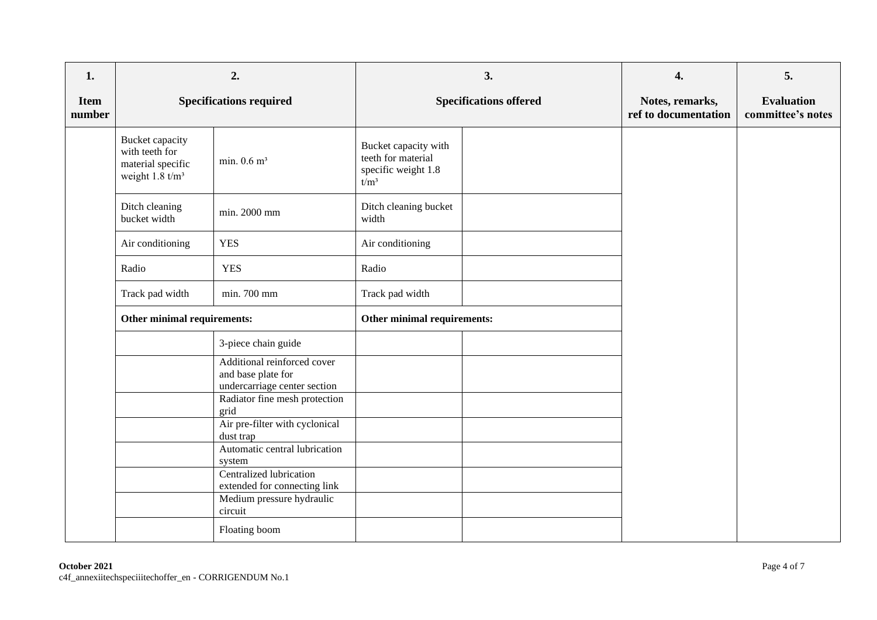| 1.                    | 2.                                                                                          |                                                                                                                    |                                                                              | 3.                            | 4.                                      | 5.                                     |
|-----------------------|---------------------------------------------------------------------------------------------|--------------------------------------------------------------------------------------------------------------------|------------------------------------------------------------------------------|-------------------------------|-----------------------------------------|----------------------------------------|
| <b>Item</b><br>number |                                                                                             | <b>Specifications required</b>                                                                                     |                                                                              | <b>Specifications offered</b> | Notes, remarks,<br>ref to documentation | <b>Evaluation</b><br>committee's notes |
|                       | <b>Bucket</b> capacity<br>with teeth for<br>material specific<br>weight $1.8 \text{ t/m}^3$ | min. $0.6$ m <sup>3</sup>                                                                                          | Bucket capacity with<br>teeth for material<br>specific weight 1.8<br>$t/m^3$ |                               |                                         |                                        |
|                       | Ditch cleaning<br>bucket width                                                              | min. 2000 mm                                                                                                       | Ditch cleaning bucket<br>width                                               |                               |                                         |                                        |
|                       | Air conditioning                                                                            | <b>YES</b>                                                                                                         | Air conditioning                                                             |                               |                                         |                                        |
|                       | Radio                                                                                       | <b>YES</b>                                                                                                         | Radio                                                                        |                               |                                         |                                        |
|                       | Track pad width                                                                             | min. 700 mm                                                                                                        | Track pad width                                                              |                               |                                         |                                        |
|                       | Other minimal requirements:                                                                 |                                                                                                                    | Other minimal requirements:                                                  |                               |                                         |                                        |
|                       |                                                                                             | 3-piece chain guide                                                                                                |                                                                              |                               |                                         |                                        |
|                       |                                                                                             | Additional reinforced cover<br>and base plate for<br>undercarriage center section<br>Radiator fine mesh protection |                                                                              |                               |                                         |                                        |
|                       |                                                                                             | grid<br>Air pre-filter with cyclonical<br>dust trap<br>Automatic central lubrication                               |                                                                              |                               |                                         |                                        |
|                       |                                                                                             | system<br>Centralized lubrication<br>extended for connecting link<br>Medium pressure hydraulic<br>circuit          |                                                                              |                               |                                         |                                        |
|                       |                                                                                             | Floating boom                                                                                                      |                                                                              |                               |                                         |                                        |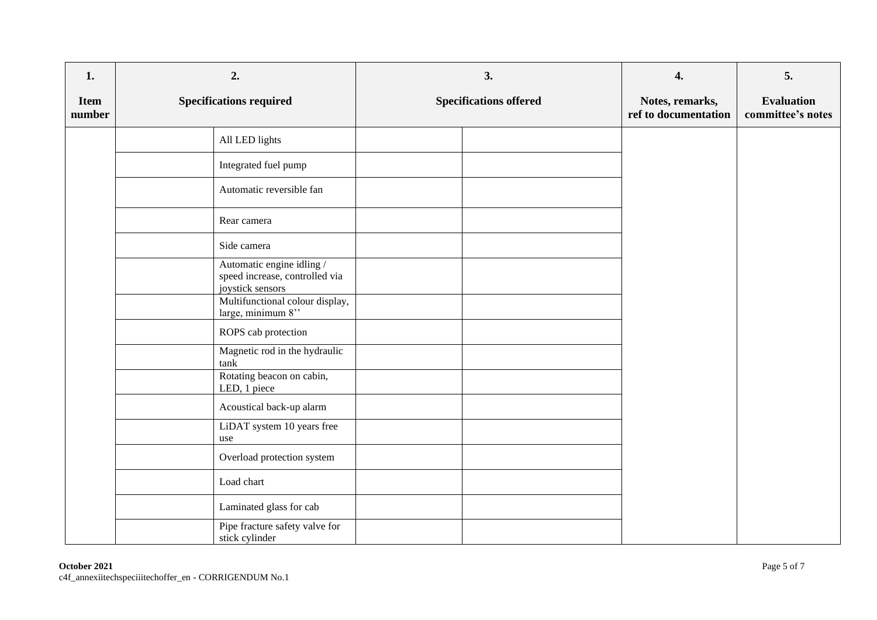| 1.                    | 2.                                                                              | 3.                            | 4.                                      | 5.                                     |
|-----------------------|---------------------------------------------------------------------------------|-------------------------------|-----------------------------------------|----------------------------------------|
| <b>Item</b><br>number | <b>Specifications required</b>                                                  | <b>Specifications offered</b> | Notes, remarks,<br>ref to documentation | <b>Evaluation</b><br>committee's notes |
|                       | All LED lights                                                                  |                               |                                         |                                        |
|                       | Integrated fuel pump                                                            |                               |                                         |                                        |
|                       | Automatic reversible fan                                                        |                               |                                         |                                        |
|                       | Rear camera                                                                     |                               |                                         |                                        |
|                       | Side camera                                                                     |                               |                                         |                                        |
|                       | Automatic engine idling /<br>speed increase, controlled via<br>joystick sensors |                               |                                         |                                        |
|                       | Multifunctional colour display,<br>large, minimum 8"                            |                               |                                         |                                        |
|                       | ROPS cab protection                                                             |                               |                                         |                                        |
|                       | Magnetic rod in the hydraulic<br>$\tanh$                                        |                               |                                         |                                        |
|                       | Rotating beacon on cabin,<br>LED, 1 piece                                       |                               |                                         |                                        |
|                       | Acoustical back-up alarm                                                        |                               |                                         |                                        |
|                       | LiDAT system 10 years free<br>use                                               |                               |                                         |                                        |
|                       | Overload protection system                                                      |                               |                                         |                                        |
|                       | Load chart                                                                      |                               |                                         |                                        |
|                       | Laminated glass for cab                                                         |                               |                                         |                                        |
|                       | Pipe fracture safety valve for<br>stick cylinder                                |                               |                                         |                                        |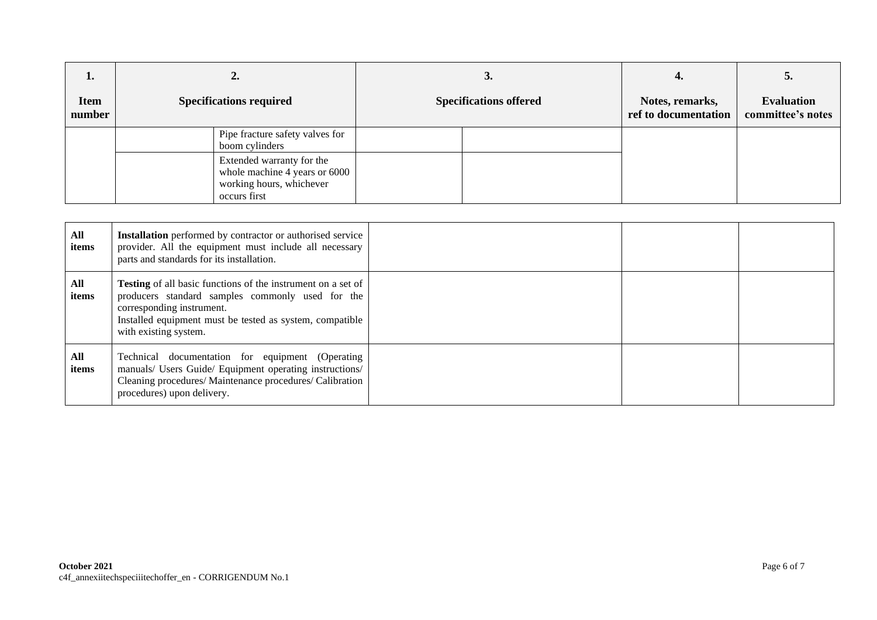| ı.<br>Item<br>number | ∠.<br><b>Specifications required</b>                                                                   | J.<br><b>Specifications offered</b> | Notes, remarks,<br>ref to documentation | J.<br><b>Evaluation</b><br>committee's notes |
|----------------------|--------------------------------------------------------------------------------------------------------|-------------------------------------|-----------------------------------------|----------------------------------------------|
|                      | Pipe fracture safety valves for<br>boom cylinders                                                      |                                     |                                         |                                              |
|                      | Extended warranty for the<br>whole machine 4 years or 6000<br>working hours, whichever<br>occurs first |                                     |                                         |                                              |

| All<br>items | <b>Installation</b> performed by contractor or authorised service<br>provider. All the equipment must include all necessary<br>parts and standards for its installation.                                                                  |  |  |
|--------------|-------------------------------------------------------------------------------------------------------------------------------------------------------------------------------------------------------------------------------------------|--|--|
| All<br>items | <b>Testing</b> of all basic functions of the instrument on a set of<br>producers standard samples commonly used for the<br>corresponding instrument.<br>Installed equipment must be tested as system, compatible<br>with existing system. |  |  |
| All<br>items | Technical documentation for equipment (Operating<br>manuals/ Users Guide/ Equipment operating instructions/<br>Cleaning procedures/ Maintenance procedures/ Calibration<br>procedures) upon delivery.                                     |  |  |